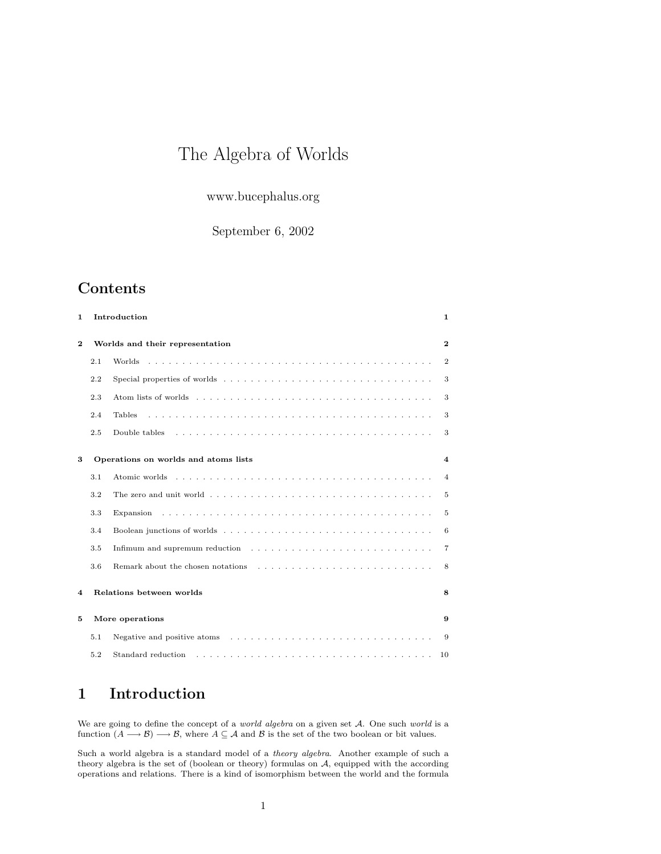# The Algebra of Worlds

www.bucephalus.org

September 6, 2002

## Contents

| 1.           |     | Introduction                                                                                                                                   | 1                       |
|--------------|-----|------------------------------------------------------------------------------------------------------------------------------------------------|-------------------------|
| $\mathbf{2}$ |     | Worlds and their representation                                                                                                                | $\mathbf{2}$            |
|              | 2.1 |                                                                                                                                                | $\overline{2}$          |
|              | 2.2 |                                                                                                                                                | 3                       |
|              | 2.3 |                                                                                                                                                | 3                       |
|              | 2.4 | <b>Tables</b>                                                                                                                                  | 3                       |
|              | 2.5 | Double tables                                                                                                                                  | 3                       |
| 3            |     | Operations on worlds and atoms lists                                                                                                           | $\overline{\mathbf{4}}$ |
|              | 3.1 |                                                                                                                                                | $\overline{4}$          |
|              | 3.2 | The zero and unit world $\ldots$ , $\ldots$ , $\ldots$ , $\ldots$ , $\ldots$ , $\ldots$ , $\ldots$ , $\ldots$ , $\ldots$ , $\ldots$ , $\ldots$ | 5                       |
|              | 3.3 |                                                                                                                                                | 5                       |
|              | 3.4 |                                                                                                                                                | 6                       |
|              | 3.5 | Infimum and supremum reduction $\dots \dots \dots \dots \dots \dots \dots \dots \dots \dots \dots$                                             | $\overline{7}$          |
|              | 3.6 |                                                                                                                                                | 8                       |
| 4            |     | Relations between worlds                                                                                                                       | 8                       |
| 5            |     | More operations                                                                                                                                | 9                       |
|              | 5.1 | Negative and positive atoms $\dots \dots \dots \dots \dots \dots \dots \dots \dots \dots \dots \dots$                                          | 9                       |
|              | 5.2 |                                                                                                                                                | 10                      |

## 1 Introduction

We are going to define the concept of a *world algebra* on a given set A. One such *world* is a function  $(A \longrightarrow \mathcal{B}) \longrightarrow \mathcal{B}$ , where  $A \subseteq \mathcal{A}$  and  $\mathcal{B}$  is the set of the two boolean or bit values.

Such a world algebra is a standard model of a theory algebra. Another example of such a theory algebra is the set of (boolean or theory) formulas on A, equipped with the according operations and relations. There is a kind of isomorphism between the world and the formula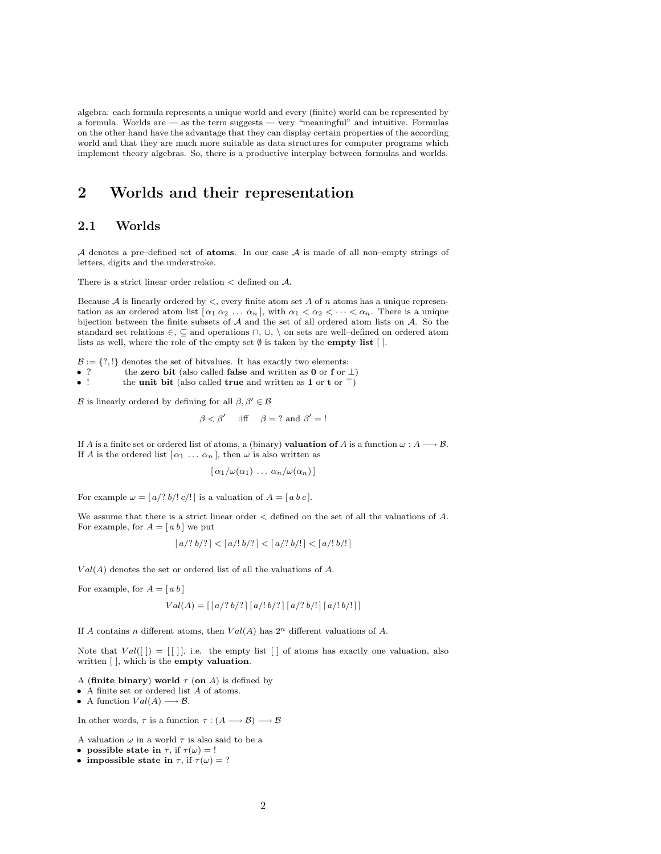algebra: each formula represents a unique world and every (finite) world can be represented by a formula. Worlds are — as the term suggests — very "meaningful" and intuitive. Formulas on the other hand have the advantage that they can display certain properties of the according world and that they are much more suitable as data structures for computer programs which implement theory algebras. So, there is a productive interplay between formulas and worlds.

## 2 Worlds and their representation

### 2.1 Worlds

A denotes a pre–defined set of **atoms**. In our case  $A$  is made of all non–empty strings of letters, digits and the understroke.

There is a strict linear order relation  $\lt$  defined on  $\mathcal{A}$ .

Because  $A$  is linearly ordered by  $\lt$ , every finite atom set A of n atoms has a unique representation as an ordered atom list  $[\alpha_1 \alpha_2 \ldots \alpha_n]$ , with  $\alpha_1 < \alpha_2 < \cdots < \alpha_n$ . There is a unique bijection between the finite subsets of A and the set of all ordered atom lists on A. So the standard set relations  $\in$ ,  $\subseteq$  and operations  $\cap$ ,  $\cup$ ,  $\setminus$  on sets are well–defined on ordered atom lists as well, where the role of the empty set  $\emptyset$  is taken by the **empty list** [].

 $\mathcal{B}:=\{?,!\}$  denotes the set of bitvalues. It has exactly two elements:

- ? the zero bit (also called false and written as 0 or f or  $\perp$ )<br>• the unit bit (also called true and written as 1 or t or  $\top$ )
- the unit bit (also called true and written as 1 or t or  $\top$ )

B is linearly ordered by defining for all  $\beta, \beta' \in \mathcal{B}$ 

$$
\beta < \beta'
$$
 iff  $\beta = ?$  and  $\beta' = !$ 

If A is a finite set or ordered list of atoms, a (binary) **valuation of** A is a function  $\omega : A \longrightarrow B$ . If A is the ordered list  $[\alpha_1 \ldots \alpha_n]$ , then  $\omega$  is also written as

$$
[\alpha_1/\omega(\alpha_1)\ldots\alpha_n/\omega(\alpha_n)]
$$

For example  $\omega = \left[ \frac{a}{?} \frac{b}{!} \right]$  is a valuation of  $A = \left[ \frac{a}{c} \right]$ .

We assume that there is a strict linear order < defined on the set of all the valuations of A. For example, for  $A = [a b]$  we put

$$
[a/? b/?] < [a/! b/?] < [a/? b/!] < [a/! b/!]
$$

 $Val(A)$  denotes the set or ordered list of all the valuations of A.

For example, for  $A = [a b]$ 

$$
Val(A) = \left[ \left[ \frac{a}{?} \frac{b}{?} \right] \left[ \frac{a}{!} \frac{b}{?} \right] \left[ \frac{a}{?} \frac{b}{!} \right] \left[ \frac{a}{!} \frac{b}{!} \right] \right]
$$

If A contains n different atoms, then  $Val(A)$  has  $2<sup>n</sup>$  different valuations of A.

Note that  $Val([]) = [[]]$ , i.e. the empty list [] of atoms has exactly one valuation, also written [ ], which is the empty valuation.

- A (finite binary) world  $\tau$  (on A) is defined by
- A finite set or ordered list A of atoms.

• A function  $Val(A) \longrightarrow B$ .

In other words,  $\tau$  is a function  $\tau : (A \longrightarrow B) \longrightarrow B$ 

- A valuation  $\omega$  in a world  $\tau$  is also said to be a
- possible state in  $\tau$ , if  $\tau(\omega) = 1$
- impossible state in  $\tau$ , if  $\tau(\omega) = ?$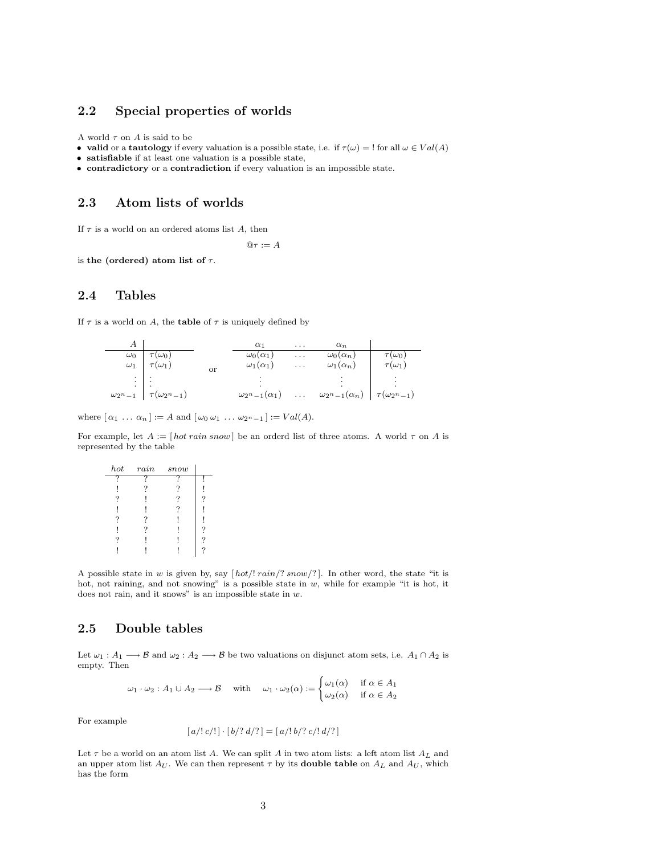#### 2.2 Special properties of worlds

A world  $\tau$  on A is said to be

- valid or a tautology if every valuation is a possible state, i.e. if  $\tau(\omega) = 1$  for all  $\omega \in Val(A)$
- satisfiable if at least one valuation is a possible state,
- contradictory or a contradiction if every valuation is an impossible state.

#### 2.3 Atom lists of worlds

If  $\tau$  is a world on an ordered atoms list A, then

 $@{\tau} := A$ 

is the (ordered) atom list of  $\tau$ .

## 2.4 Tables

If  $\tau$  is a world on A, the **table** of  $\tau$  is uniquely defined by

|                    |                             |    | $\alpha_1$                 | $\cdots$ | $\alpha_n$                 |                                |
|--------------------|-----------------------------|----|----------------------------|----------|----------------------------|--------------------------------|
| $\omega_0$         | $\tau(\omega_0)$            |    | $\omega_0(\alpha_1)$       | $\cdots$ | $\omega_0(\alpha_n)$       | $\tau(\omega_0)$               |
| $\omega_1$         | $\tau(\omega_1)$            | or | $\omega_1(\alpha_1)$       | $\cdots$ | $\omega_1(\alpha_n)$       | $\tau(\omega_1)$               |
| $\cdot$            |                             |    |                            |          |                            |                                |
|                    |                             |    |                            |          |                            |                                |
| $\omega_{2^{n}-1}$ | $\perp \tau(\omega_{2n-1})$ |    | $\omega_{2^n-1}(\alpha_1)$ | $\ldots$ | $\omega_{2^n-1}(\alpha_n)$ | $\mid \tau(\omega_{2n-1})\mid$ |

where  $\lceil \alpha_1 \ldots \alpha_n \rceil := A$  and  $\lceil \omega_0 \omega_1 \ldots \omega_{2^n-1} \rceil := Val(A)$ .

For example, let  $A := [hot rain snow]$  be an orderd list of three atoms. A world  $\tau$  on A is represented by the table

| hot | rain | snow |   |
|-----|------|------|---|
| 9   | 7    | 9    |   |
|     | 7    | 7    |   |
| 7   |      | ?    | ? |
|     |      | 7    |   |
| ?   | ?    |      |   |
|     |      |      | ? |
|     |      |      | ? |
|     |      |      | ? |

A possible state in w is given by, say  $[hot!/train!/3now/?]$ . In other word, the state "it is hot, not raining, and not snowing" is a possible state in  $w$ , while for example "it is hot, it does not rain, and it snows" is an impossible state in w.

### 2.5 Double tables

Let  $\omega_1 : A_1 \longrightarrow \mathcal{B}$  and  $\omega_2 : A_2 \longrightarrow \mathcal{B}$  be two valuations on disjunct atom sets, i.e.  $A_1 \cap A_2$  is empty. Then

$$
\omega_1 \cdot \omega_2 : A_1 \cup A_2 \longrightarrow \mathcal{B} \quad \text{with} \quad \omega_1 \cdot \omega_2(\alpha) := \begin{cases} \omega_1(\alpha) & \text{if } \alpha \in A_1 \\ \omega_2(\alpha) & \text{if } \alpha \in A_2 \end{cases}
$$

For example

$$
[a/!c/!] \cdot [b/? d/?] = [a/! b/? c/! d/?]
$$

Let  $\tau$  be a world on an atom list A. We can split A in two atom lists: a left atom list  $A_L$  and an upper atom list  $A_U$ . We can then represent  $\tau$  by its **double table** on  $A_L$  and  $A_U$ , which has the form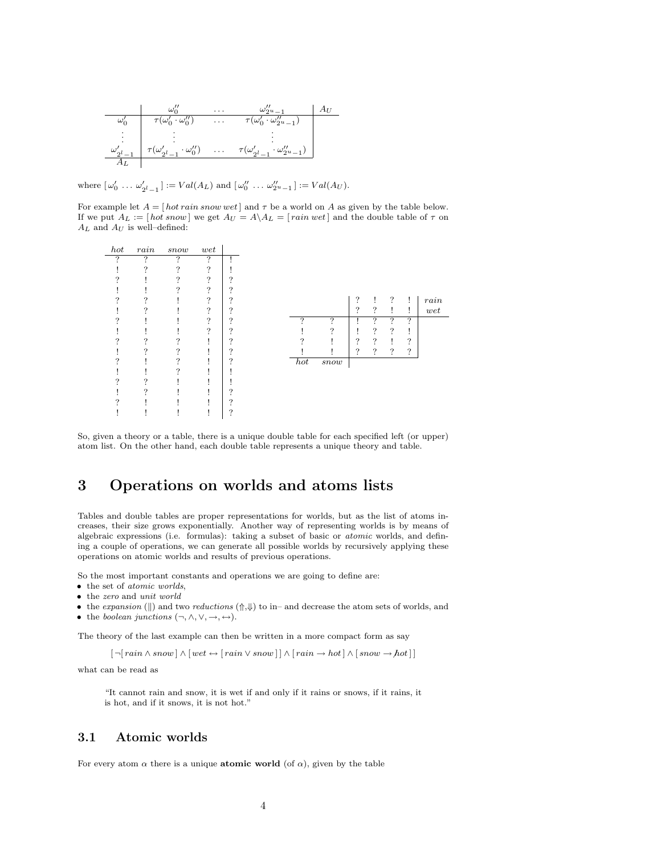|                       |                                                                  | .        | $\omega_{2u}$                                           |  |
|-----------------------|------------------------------------------------------------------|----------|---------------------------------------------------------|--|
|                       | $\tau(\omega_0'\cdot\omega_0'')$                                 | .        | $\cdot \omega_{2u-1}^{\prime\prime}$                    |  |
| ۰                     |                                                                  |          |                                                         |  |
| $\omega'_{\text{ol}}$ | . $\tau(\omega'_{2^{l}-1}$ .<br>$\cdot \omega_0^{\prime\prime})$ | $\cdots$ | $\cdot \omega''_{2^{u-1}}$<br>$\tau(\omega'_{2^{l}-1})$ |  |
|                       |                                                                  |          |                                                         |  |

where  $[\,\omega_0' \,\ldots \,\omega_{2^l-1}'\,] := Val(A_L)$  and  $[\,\omega_0'' \,\ldots \,\omega_{2^u-1}'\,] := Val(A_U).$ 

For example let  $A = [hot rain snow wet]$  and  $\tau$  be a world on A as given by the table below. If we put  $A_L := [hot\ snow]$  we get  $A_U = A \ A_L = [rain\ wet]$  and the double table of  $\tau$  on  $A_L$  and  $A_U$  is well–defined:

| hot | rain     | snow | wet            |          |          |        |                    |                    |                |                    |      |
|-----|----------|------|----------------|----------|----------|--------|--------------------|--------------------|----------------|--------------------|------|
| 2   | ?        | 7    | $\overline{?}$ |          |          |        |                    |                    |                |                    |      |
|     | ?        | ?    | ?<br>÷         |          |          |        |                    |                    |                |                    |      |
|     |          | 2    | 2              | $\Omega$ |          |        |                    |                    |                |                    |      |
|     |          |      | 2              | ິ        |          |        |                    |                    |                |                    |      |
| ິ   | $\Omega$ |      | っ              | $\Omega$ |          |        | $\mathcal{P}$      | Ţ                  | $\ddot{?}$     | Ţ                  | rain |
|     | ິ        |      | $\mathcal{P}$  | $\Omega$ |          |        | $\overline{\cdot}$ | $\overline{\cdot}$ | Ţ              | Ţ                  | wet  |
|     |          |      | $\mathcal{P}$  | $\Omega$ | ?        | 7      |                    | ?                  | $\overline{?}$ | $\overline{?}$     |      |
|     |          |      | 2              | $\Omega$ |          | 2      |                    | ?                  | ?              |                    |      |
|     | $\Omega$ | ິ    |                | $\Omega$ | $\Omega$ |        | ?                  | $\ddot{?}$         |                | $\overline{\cdot}$ |      |
|     | $\Omega$ |      |                | ິ        |          |        | ?                  | $\overline{\cdot}$ | ?              | ?                  |      |
|     |          |      |                | $\Omega$ | hot      | $snow$ |                    |                    |                |                    |      |
|     |          | ິ    |                |          |          |        |                    |                    |                |                    |      |
|     | ິ        |      |                |          |          |        |                    |                    |                |                    |      |
|     | $\Omega$ |      |                | ິ        |          |        |                    |                    |                |                    |      |
|     |          |      |                | $\Omega$ |          |        |                    |                    |                |                    |      |
|     |          |      |                | ິ        |          |        |                    |                    |                |                    |      |

So, given a theory or a table, there is a unique double table for each specified left (or upper) atom list. On the other hand, each double table represents a unique theory and table.

## 3 Operations on worlds and atoms lists

Tables and double tables are proper representations for worlds, but as the list of atoms increases, their size grows exponentially. Another way of representing worlds is by means of algebraic expressions (i.e. formulas): taking a subset of basic or atomic worlds, and defining a couple of operations, we can generate all possible worlds by recursively applying these operations on atomic worlds and results of previous operations.

So the most important constants and operations we are going to define are:

- the set of atomic worlds,
- $\bullet\,$  the  $zero$  and  $unit\; world$
- the expansion (||) and two reductions  $(\uparrow,\downarrow)$  to in– and decrease the atom sets of worlds, and
- the boolean junctions  $(\neg, \wedge, \vee, \rightarrow, \leftrightarrow)$ .

The theory of the last example can then be written in a more compact form as say

 $\left[\,\neg[\,rain\wedge snow\,]\wedge\left[ \,wet \leftrightarrow [\,rain\vee snow\,]\,\right]\wedge\left[ \,rain \to hot\, \right]\wedge\left[ \,snow \to hot\, \right]\,\right]$ 

what can be read as

"It cannot rain and snow, it is wet if and only if it rains or snows, if it rains, it is hot, and if it snows, it is not hot."

## 3.1 Atomic worlds

For every atom  $\alpha$  there is a unique **atomic world** (of  $\alpha$ ), given by the table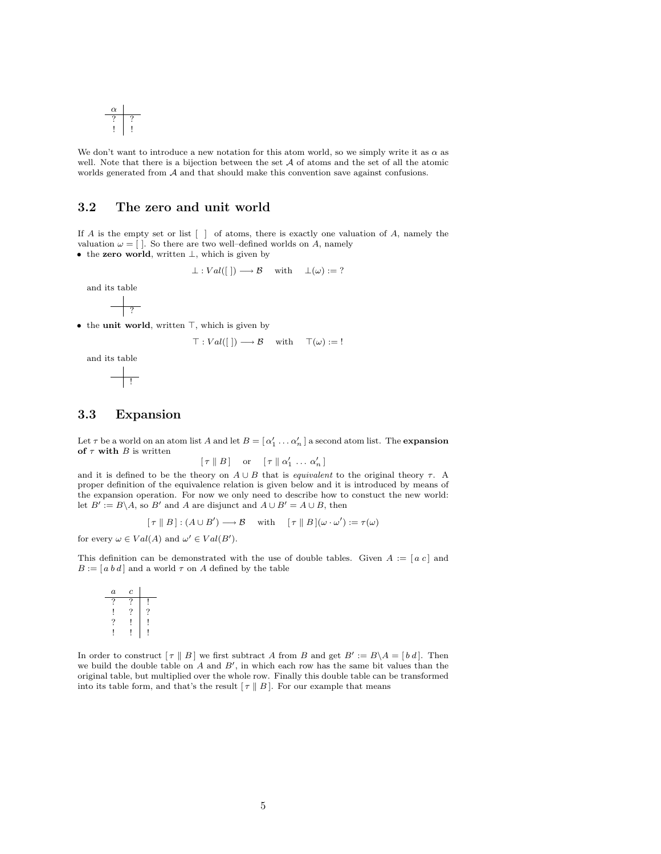$$
\begin{array}{c|c}\n\alpha \\
\hline\n? & ? \\
\hline\n!\end{array}
$$

We don't want to introduce a new notation for this atom world, so we simply write it as  $\alpha$  as well. Note that there is a bijection between the set  $A$  of atoms and the set of all the atomic worlds generated from  $A$  and that should make this convention save against confusions.

## 3.2 The zero and unit world

If A is the empty set or list [ ] of atoms, there is exactly one valuation of A, namely the valuation  $\omega = [ ]$ . So there are two well–defined worlds on A, namely

• the zero world, written ⊥, which is given by

$$
\perp: Val([]) \longrightarrow B
$$
 with  $\perp(\omega) := ?$ 

and its table

$$
\frac{\phantom{1}}{\phantom{1}}\frac{}{\phantom{1}}^2
$$

 $\bullet$  the unit world, written  $\top$ , which is given by

$$
\top: Val([\ ])\longrightarrow \mathcal{B} \quad \text{ with } \quad \top(\omega):=!
$$

and its table

## 3.3 Expansion

 $\overline{\phantom{a}}$  !

Let  $\tau$  be a world on an atom list A and let  $B = [\alpha'_1 \dots \alpha'_n]$  a second atom list. The **expansion** of  $\tau$  with B is written

 $[\tau \parallel B]$  or  $[\tau \parallel \alpha'_1 \ldots \alpha'_n]$ 

and it is defined to be the theory on  $A \cup B$  that is equivalent to the original theory  $\tau$ . A proper definition of the equivalence relation is given below and it is introduced by means of the expansion operation. For now we only need to describe how to constuct the new world: let  $B' := B \setminus A$ , so B' and A are disjunct and  $A \cup B' = A \cup B$ , then

$$
[\tau \parallel B] : (A \cup B') \longrightarrow B \quad \text{with} \quad [\tau \parallel B](\omega \cdot \omega') := \tau(\omega)
$$

for every  $\omega \in Val(A)$  and  $\omega' \in Val(B')$ .

This definition can be demonstrated with the use of double tables. Given  $A := [a \ c]$  and  $B := [a b d]$  and a world  $\tau$  on A defined by the table

| $\alpha$ | с  |   |
|----------|----|---|
| ?        | ., |   |
|          |    | 7 |
| ?        |    |   |
|          |    |   |

In order to construct  $[\tau \parallel B]$  we first subtract A from B and get  $B' := B \setminus A = [b \ d]$ . Then we build the double table on  $A$  and  $B'$ , in which each row has the same bit values than the original table, but multiplied over the whole row. Finally this double table can be transformed into its table form, and that's the result  $[\tau \parallel B]$ . For our example that means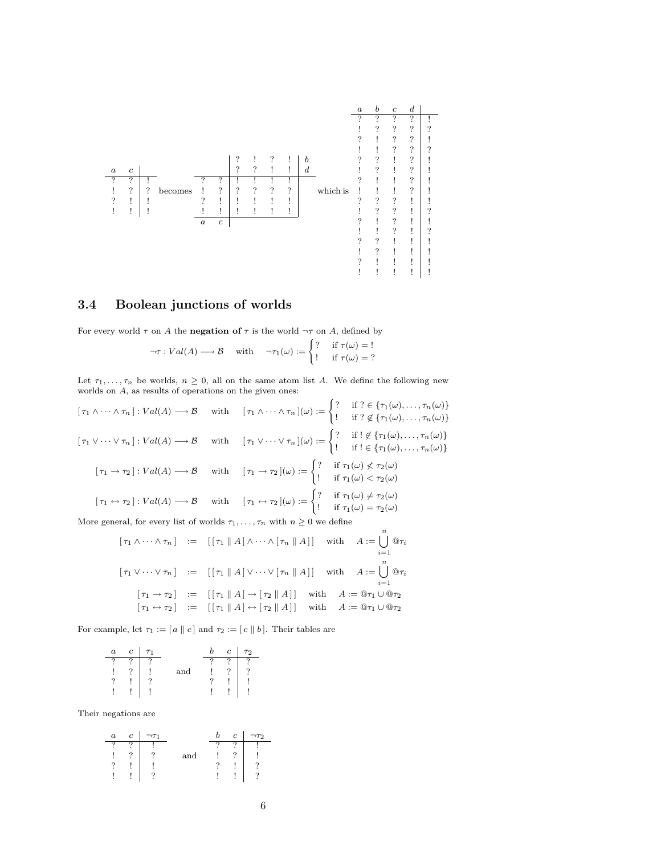

## 3.4 Boolean junctions of worlds

For every world  $\tau$  on A the **negation of**  $\tau$  is the world  $\neg \tau$  on A, defined by

$$
\neg \tau : Val(A) \longrightarrow B \quad \text{with} \quad \neg \tau_1(\omega) := \begin{cases} ? & \text{if } \tau(\omega) = 1 \\ ! & \text{if } \tau(\omega) = ? \end{cases}
$$

Let  $\tau_1, \ldots, \tau_n$  be worlds,  $n \geq 0$ , all on the same atom list A. We define the following new worlds on A, as results of operations on the given ones:

 $[\tau_1 \wedge \cdots \wedge \tau_n] : Val(A) \longrightarrow \mathcal{B}$  with  $[\tau_1 \wedge \cdots \wedge \tau_n](\omega) := \begin{cases} ? & \text{if } ? \in {\tau_1(\omega), \dots, \tau_n(\omega)} \\ 1 & \text{if } ? \in {\tau_2(\omega), \dots, \tau_n(\omega)} \end{cases}$ ! if ?  $\notin \{\tau_1(\omega), \ldots, \tau_n(\omega)\}\$  $[\tau_1 \vee \cdots \vee \tau_n]: Val(A) \longrightarrow \mathcal{B}$  with  $[\tau_1 \vee \cdots \vee \tau_n](\omega) := \begin{cases} ? & \text{if } ! \notin {\tau_1(\omega), \ldots, \tau_n(\omega)} \\ 1 & \text{if } ! \in {\tau_2(\omega), \ldots, \tau_n(\omega)} \end{cases}$ ! if  $!\in \{\tau_1(\omega),\ldots,\tau_n(\omega)\}\$  $[\tau_1 \to \tau_2] : Val(A) \longrightarrow \mathcal{B}$  with  $[\tau_1 \to \tau_2](\omega) := \begin{cases} ? & \text{if } \tau_1(\omega) \not< \tau_2(\omega) \\ 1 & \text{if } \tau_1(\omega) \not< \tau_2(\omega) \end{cases}$ ! if  $\tau_1(\omega) < \tau_2(\omega)$  $[\tau_1 \leftrightarrow \tau_2] : Val(A) \longrightarrow \mathcal{B}$  with  $[\tau_1 \leftrightarrow \tau_2](\omega) := \begin{cases} ? & \text{if } \tau_1(\omega) \neq \tau_2(\omega) \\ 0 & \text{if } \tau_1(\omega) \neq \tau_2(\omega) \end{cases}$ ! if  $\tau_1(\omega) = \tau_2(\omega)$ More general, for every list of worlds  $\tau_1, \ldots, \tau_n$  with  $n \geq 0$  we define

$$
\begin{aligned}\n\left[\tau_1 \wedge \cdots \wedge \tau_n\right] &:= \left[\left[\tau_1 \parallel A\right] \wedge \cdots \wedge \left[\tau_n \parallel A\right]\right] \quad \text{with} \quad A := \bigcup_{i=1}^n \mathbb{Q}\tau_i \\
\left[\tau_1 \vee \cdots \vee \tau_n\right] &:= \left[\left[\tau_1 \parallel A\right] \vee \cdots \vee \left[\tau_n \parallel A\right]\right] \quad \text{with} \quad A := \bigcup_{i=1}^n \mathbb{Q}\tau_i \\
\left[\tau_1 \rightarrow \tau_2\right] &:= \left[\left[\tau_1 \parallel A\right] \rightarrow \left[\tau_2 \parallel A\right]\right] \quad \text{with} \quad A := \mathbb{Q}\tau_1 \cup \mathbb{Q}\tau_2 \\
\left[\tau_1 \leftrightarrow \tau_2\right] &:= \left[\left[\tau_1 \parallel A\right] \leftrightarrow \left[\tau_2 \parallel A\right]\right] \quad \text{with} \quad A := \mathbb{Q}\tau_1 \cup \mathbb{Q}\tau_2\n\end{aligned}
$$

For example, let  $\tau_1 := [a \parallel c]$  and  $\tau_2 := [c \parallel b]$ . Their tables are

|   | $\overline{c}$ | T <sub>1</sub> |     | $\epsilon$ | $\tau$ |
|---|----------------|----------------|-----|------------|--------|
| c | o              |                |     | O          |        |
|   | 7              |                | and |            |        |
|   |                | c              |     |            |        |
|   | ٠              | ٠              |     |            |        |

Their negations are

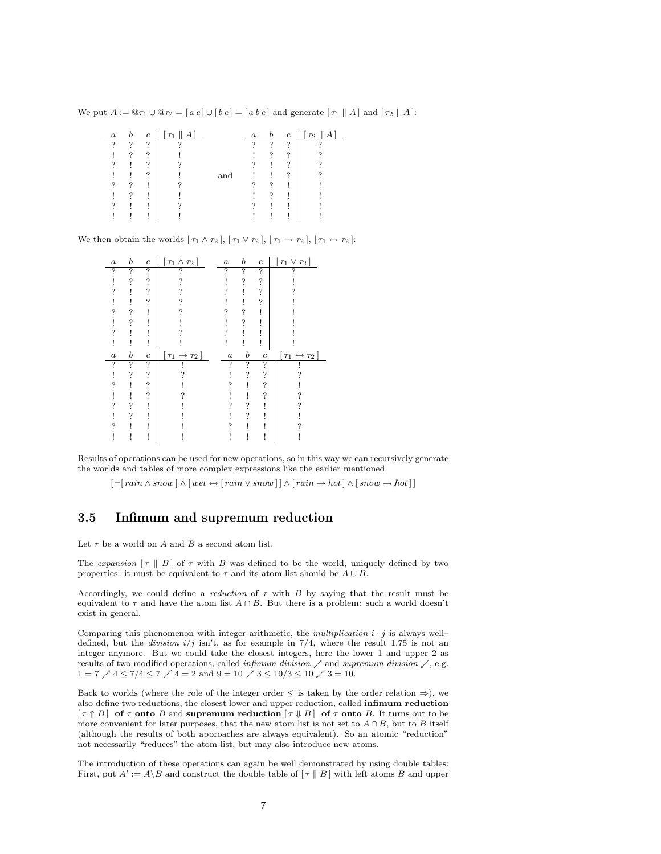We put  $A := \mathbb{Q}\tau_1 \cup \mathbb{Q}\tau_2 = [a \ c] \cup [b \ c] = [a \ b \ c]$  and generate  $[\tau_1 \parallel A]$  and  $[\tau_2 \parallel A]$ :

| $\boldsymbol{a}$ | $\boldsymbol{b}$ | $\mathfrak{c}$ | $\lceil \tau_1 \rceil  A $ |     | $\boldsymbol{a}$ | b        | $\mathbf{c}$ | $\lceil \tau_2 \rceil$<br>$\Delta$ 1 |
|------------------|------------------|----------------|----------------------------|-----|------------------|----------|--------------|--------------------------------------|
| -2               | ິ                | ?              | റ                          |     | റ                | ິ        | ?            | о                                    |
|                  | ?                | ?              |                            |     |                  | ?        | ?            |                                      |
| 7                |                  | ?              |                            |     |                  |          | ?            |                                      |
|                  |                  | ິ              |                            | and |                  |          | ?            |                                      |
| ?                | $\Omega$         |                |                            |     |                  | ິ        |              |                                      |
|                  | ິ                |                |                            |     |                  | $\Omega$ |              |                                      |
| າ                |                  |                |                            |     |                  |          |              |                                      |
|                  |                  |                |                            |     |                  |          |              |                                      |
|                  |                  |                |                            |     |                  |          |              |                                      |

We then obtain the worlds  $[\tau_1 \wedge \tau_2], [\tau_1 \vee \tau_2], [\tau_1 \rightarrow \tau_2], [\tau_1 \leftrightarrow \tau_2]$ :

| $\boldsymbol{a}$ | b | $\boldsymbol{c}$ | $\tau_1 \wedge \tau_2$        | $\boldsymbol{a}$ | b                | $\boldsymbol{c}$   | $\tau_1 \vee \tau_2$                  |
|------------------|---|------------------|-------------------------------|------------------|------------------|--------------------|---------------------------------------|
| ?                | ? | ?                |                               | ?                | 7                | ?                  |                                       |
|                  | 7 | ?                |                               |                  | ?                | ?                  |                                       |
|                  |   | ?                |                               |                  |                  | $\overline{\cdot}$ |                                       |
|                  |   | ?                |                               |                  |                  | ?                  |                                       |
|                  | ? |                  |                               |                  |                  |                    |                                       |
|                  | 7 |                  |                               |                  | 7                |                    |                                       |
|                  |   |                  |                               |                  |                  |                    |                                       |
|                  |   |                  |                               |                  |                  |                    |                                       |
|                  |   |                  |                               |                  |                  |                    |                                       |
| $\boldsymbol{a}$ | b | $\boldsymbol{c}$ | $[\tau_1 \rightarrow \tau_2]$ | $\boldsymbol{a}$ | $\boldsymbol{b}$ | $\boldsymbol{c}$   | $[\,\tau_1 \leftrightarrow \tau_2\,]$ |
| ?                | ? | ?                |                               | 7                | ?                | $\ddot{?}$         |                                       |
|                  | ? | ?                |                               |                  | 7                | ?                  |                                       |
|                  |   | ?                |                               |                  |                  | ?                  |                                       |
|                  |   | ?                |                               |                  |                  | ?                  |                                       |
|                  | ? |                  |                               |                  |                  |                    |                                       |
|                  | ? |                  |                               |                  | 7                |                    |                                       |
|                  |   |                  |                               |                  |                  |                    |                                       |

Results of operations can be used for new operations, so in this way we can recursively generate the worlds and tables of more complex expressions like the earlier mentioned

 $\lceil \neg \lceil \min \wedge \mathit{snow} \rceil \wedge \lceil \mathit{wet} \leftrightarrow \lceil \mathit{rain} \vee \mathit{snow} \rceil \rceil \wedge \lceil \mathit{rain} \rightarrow \mathit{hot} \rceil \wedge \lceil \mathit{snow} \rightarrow \mathit{hot} \rceil \rceil$ 

### 3.5 Infimum and supremum reduction

Let  $\tau$  be a world on  $A$  and  $B$  a second atom list.

The expansion  $[\tau \parallel B]$  of  $\tau$  with B was defined to be the world, uniquely defined by two properties: it must be equivalent to  $\tau$  and its atom list should be  $A \cup B$ .

Accordingly, we could define a *reduction* of  $\tau$  with B by saying that the result must be equivalent to  $\tau$  and have the atom list  $A \cap B$ . But there is a problem: such a world doesn't exist in general.

Comparing this phenomenon with integer arithmetic, the *multiplication*  $i \cdot j$  is always well– defined, but the *division*  $i/j$  isn't, as for example in  $7/4$ , where the result 1.75 is not an integer anymore. But we could take the closest integers, here the lower 1 and upper 2 as results of two modified operations, called *infimum division*  $\nearrow$  and *supremum division*  $\nearrow$ , e.g.  $1 = 7 \nearrow 4 \le 7/4 \le 7 \swarrow 4 = 2$  and  $9 = 10 \nearrow 3 \le 10/3 \le 10 \swarrow 3 = 10$ .

Back to worlds (where the role of the integer order  $\leq$  is taken by the order relation  $\Rightarrow$ ), we also define two reductions, the closest lower and upper reduction, called infimum reduction  $[\tau \uparrow B]$  of  $\tau$  onto B and supremum reduction  $[\tau \downarrow B]$  of  $\tau$  onto B. It turns out to be more convenient for later purposes, that the new atom list is not set to  $A \cap B$ , but to B itself (although the results of both approaches are always equivalent). So an atomic "reduction" not necessarily "reduces" the atom list, but may also introduce new atoms.

The introduction of these operations can again be well demonstrated by using double tables: First, put  $A' := A \setminus B$  and construct the double table of  $[\tau \mid B]$  with left atoms B and upper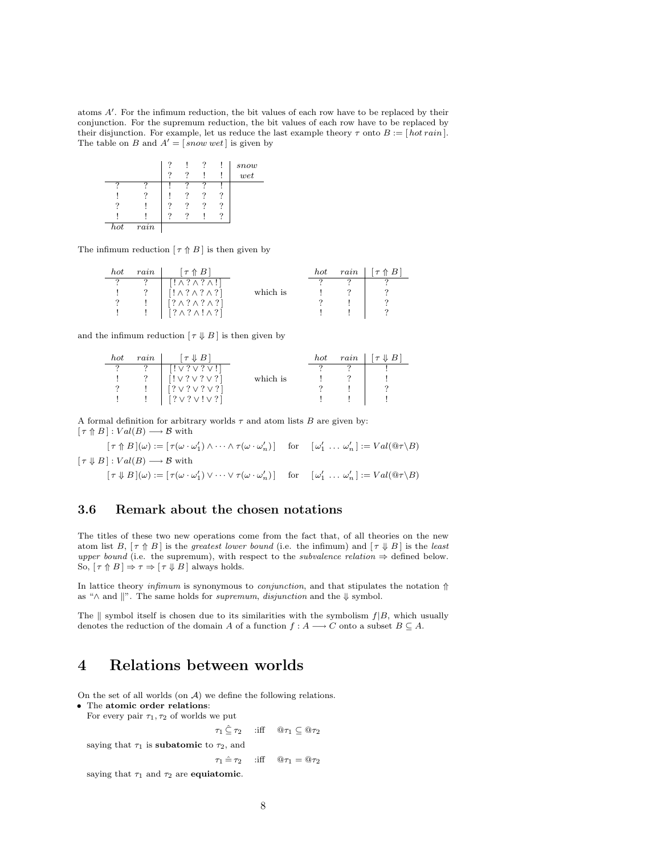atoms A'. For the infimum reduction, the bit values of each row have to be replaced by their conjunction. For the supremum reduction, the bit values of each row have to be replaced by their disjunction. For example, let us reduce the last example theory  $\tau$  onto  $B := [hot\, rain]$ . The table on B and  $A' = [\text{ snow wet}]$  is given by

|   |                   | O |  | snow |
|---|-------------------|---|--|------|
|   |                   |   |  | wet  |
| o |                   |   |  |      |
|   |                   |   |  |      |
| 7 |                   |   |  |      |
|   |                   | 2 |  |      |
|   | $\overline{rain}$ |   |  |      |

The infimum reduction  $[\tau \uparrow B]$  is then given by

| hot | rain | $\tau \wedge B$                  |          | hot | rain | $\lceil \tau \uparrow B \rceil$ |
|-----|------|----------------------------------|----------|-----|------|---------------------------------|
|     |      | $[! \wedge ? \wedge ? \wedge!]$  |          |     |      |                                 |
|     |      | $[! \wedge ? \wedge ? \wedge ?]$ | which is |     |      |                                 |
|     |      | $[? \wedge ? \wedge ? \wedge ?]$ |          |     |      |                                 |
|     |      | $[? \wedge ? \wedge ! \wedge ?]$ |          |     |      |                                 |

and the infimum reduction  $[\tau \downarrow B]$  is then given by

| hot      | rain | $\tau \Downarrow B$        |          | hot | rain | $\tau \downarrow B$ |
|----------|------|----------------------------|----------|-----|------|---------------------|
|          | ച    | $[! \vee ? \vee ? \vee !]$ |          |     |      |                     |
|          |      | $[! \vee ? \vee ? \vee ?]$ | which is |     |      |                     |
| $\Omega$ |      | [?V?V?V?]                  |          |     |      |                     |
|          |      | [?V?V!V?]                  |          |     |      |                     |

A formal definition for arbitrary worlds  $\tau$  and atom lists  $B$  are given by:  $[\tau \uparrow B] : Val(B) \longrightarrow B$  with

 $[\tau \uparrow B](\omega) := [\tau(\omega \cdot \omega'_1) \wedge \cdots \wedge \tau(\omega \cdot \omega'_n)]$  for  $[\omega'_1 \dots \omega'_n] := Val(\mathbb{Q}\tau \backslash B)$  $[\tau \downarrow B] : Val(B) \longrightarrow B$  with

 $[\tau \Downarrow B](\omega) := [\tau(\omega \cdot \omega'_1) \vee \cdots \vee \tau(\omega \cdot \omega'_n)]$  for  $[\omega'_1 \dots \omega'_n] := Val(\mathbb{Q}\tau \setminus B)$ 

## 3.6 Remark about the chosen notations

The titles of these two new operations come from the fact that, of all theories on the new atom list B,  $[\tau \uparrow B]$  is the greatest lower bound (i.e. the infimum) and  $[\tau \downarrow B]$  is the least upper bound (i.e. the supremum), with respect to the *subvalence relation*  $\Rightarrow$  defined below. So,  $[\tau \uparrow B] \Rightarrow \tau \Rightarrow [\tau \Downarrow B]$  always holds.

In lattice theory infimum is synonymous to *conjunction*, and that stipulates the notation  $\Uparrow$ as " $\wedge$  and  $\parallel$ ". The same holds for *supremum*, *disjunction* and the  $\Downarrow$  symbol.

The  $\parallel$  symbol itself is chosen due to its similarities with the symbolism  $f|B$ , which usually denotes the reduction of the domain A of a function  $f : A \longrightarrow C$  onto a subset  $B \subseteq A$ .

## 4 Relations between worlds

On the set of all worlds (on  $A$ ) we define the following relations.

• The atomic order relations:

For every pair  $\tau_1, \tau_2$  of worlds we put

 $\tau_1 \subseteq \tau_2$  :iff  $@ \tau_1 \subseteq @ \tau_2$ 

saying that  $\tau_1$  is **subatomic** to  $\tau_2$ , and

 $\tau_1 \hat{=} \tau_2$  :iff  $\mathbb{Q}\tau_1 = \mathbb{Q}\tau_2$ 

saying that  $\tau_1$  and  $\tau_2$  are equiatomic.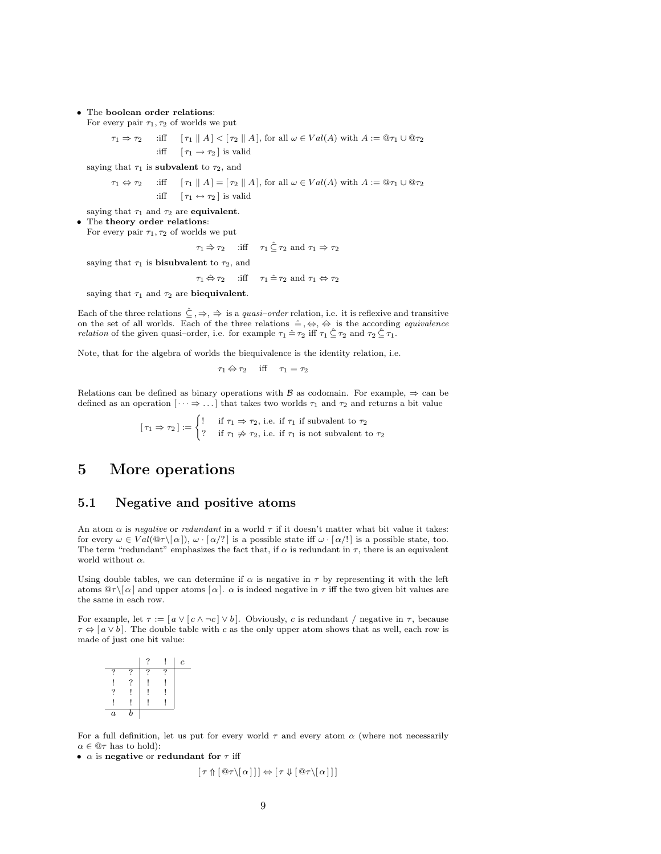#### • The boolean order relations:

For every pair  $\tau_1, \tau_2$  of worlds we put

 $\tau_1 \Rightarrow \tau_2$  :iff  $[\tau_1 \mid A] < [\tau_2 \mid A]$ , for all  $\omega \in Val(A)$  with  $A := \mathcal{Q}\tau_1 \cup \mathcal{Q}\tau_2$ :iff  $[\tau_1 \rightarrow \tau_2]$  is valid

saying that  $\tau_1$  is **subvalent** to  $\tau_2$ , and

 $\tau_1 \Leftrightarrow \tau_2$  :iff  $[\tau_1 \parallel A] = [\tau_2 \parallel A],$  for all  $\omega \in Val(A)$  with  $A := \mathbb{Q}\tau_1 \cup \mathbb{Q}\tau_2$ :iff  $[\tau_1 \leftrightarrow \tau_2]$  is valid

saying that  $\tau_1$  and  $\tau_2$  are equivalent.

The theory order relations:

For every pair  $\tau_1, \tau_2$  of worlds we put

 $\tau_1 \stackrel{\scriptscriptstyle\triangle}{\rightarrow} \tau_2$  :iff  $\tau_1 \stackrel{\scriptscriptstyle\triangle}{\leftarrow} \tau_2$  and  $\tau_1 \Rightarrow \tau_2$ 

saying that  $\tau_1$  is **bisubvalent** to  $\tau_2$ , and

$$
\tau_1 \Leftrightarrow \tau_2 \quad \text{ iff } \quad \tau_1 \hat{=} \tau_2 \text{ and } \tau_1 \Leftrightarrow \tau_2
$$

saying that  $\tau_1$  and  $\tau_2$  are biequivalent.

Each of the three relations  $\hat{\subseteq}, \Rightarrow, \Rightarrow$  is a *quasi-order* relation, i.e. it is reflexive and transitive on the set of all worlds. Each of the three relations  $\hat{=} , \Leftrightarrow , \hat{\Leftrightarrow}$  is the according *equivalence relation* of the given quasi–order, i.e. for example  $\tau_1 \hat{=} \tau_2$  iff  $\tau_1 \hat{=} \tau_2$  and  $\tau_2 \hat{=} \tau_1$ .

Note, that for the algebra of worlds the biequivalence is the identity relation, i.e.

$$
\tau_1 \Leftrightarrow \tau_2 \quad \text{iff} \quad \tau_1 = \tau_2
$$

Relations can be defined as binary operations with B as codomain. For example,  $\Rightarrow$  can be defined as an operation  $[\cdots \Rightarrow \dots]$  that takes two worlds  $\tau_1$  and  $\tau_2$  and returns a bit value

> $[\tau_1 \Rightarrow \tau_2] := \begin{cases} ! & \text{if } \tau_1 \Rightarrow \tau_2 \text{, i.e. if } \tau_1 \text{ if subvalent to } \tau_2 \end{cases}$ ? if  $\tau_1 \not\Rightarrow \tau_2$ , i.e. if  $\tau_1$  is not subvalent to  $\tau_2$

## 5 More operations

#### 5.1 Negative and positive atoms

An atom  $\alpha$  is negative or redundant in a world  $\tau$  if it doesn't matter what bit value it takes: for every  $\omega \in Val(\mathbb{Q}\tau\setminus\{\alpha\}), \omega\cdot\lceil \alpha/? \rceil$  is a possible state iff  $\omega\cdot\lceil \alpha/! \rceil$  is a possible state, too. The term "redundant" emphasizes the fact that, if  $\alpha$  is redundant in  $\tau$ , there is an equivalent world without  $\alpha$ .

Using double tables, we can determine if  $\alpha$  is negative in  $\tau$  by representing it with the left atoms  $\mathbb{Q}\tau\setminus[\alpha]$  and upper atoms  $[\alpha]$ .  $\alpha$  is indeed negative in  $\tau$  iff the two given bit values are the same in each row.

For example, let  $\tau := [a \vee [c \wedge \neg c] \vee b]$ . Obviously, c is redundant / negative in  $\tau$ , because  $\tau \Leftrightarrow [a \vee b]$ . The double table with c as the only upper atom shows that as well, each row is made of just one bit value:

|                  |   | ົ | c |
|------------------|---|---|---|
|                  |   |   |   |
|                  |   |   |   |
|                  |   |   |   |
|                  |   |   |   |
| $\boldsymbol{a}$ | f |   |   |

For a full definition, let us put for every world  $\tau$  and every atom  $\alpha$  (where not necessarily  $\alpha \in \mathbb{Q} \tau$  has to hold):

•  $\alpha$  is negative or redundant for  $\tau$  iff

$$
[\tau \Uparrow [\mathbb{Q}\tau \setminus [\alpha]]] \Leftrightarrow [\tau \Downarrow [\mathbb{Q}\tau \setminus [\alpha]]]
$$